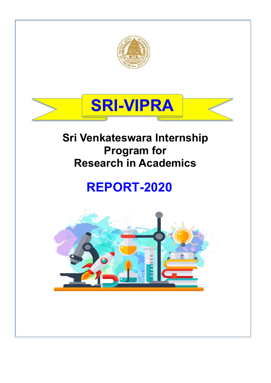



# **Sri Venkateswara Internship Program for Research in Academics**

# **REPORT-2020**

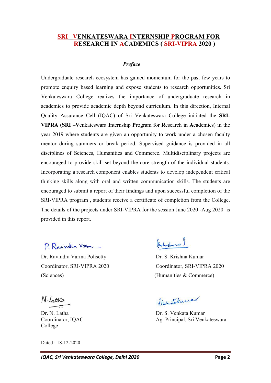#### **SRI –VENKATESWARA INTERNSHIP PROGRAM FOR RESEARCH IN ACADEMICS ( SRI-VIPRA 2020 )**

#### *Preface*

Undergraduate research ecosystem has gained momentum for the past few years to promote enquiry based learning and expose students to research opportunities. Sri Venkateswara College realizes the importance of undergraduate research in academics to provide academic depth beyond curriculum. In this direction, Internal Quality Assurance Cell (IQAC) of Sri Venkateswara College initiated the **SRI-VIPRA** (**SRI –V**enkateswara **I**nternship **P**rogram for **R**esearch in **A**cademics) in the year 2019 where students are given an opportunity to work under a chosen faculty mentor during summers or break period. Supervised guidance is provided in all disciplines of Sciences, Humanities and Commerce. Multidisciplinary projects are encouraged to provide skill set beyond the core strength of the individual students. Incorporating a research component enables students to develop independent critical thinking skills along with oral and written communication skills. The students are encouraged to submit a report of their findings and upon successful completion of the SRI-VIPRA program , students receive a certificate of completion from the College. The details of the projects under SRI-VIPRA for the session June 2020 -Aug 2020 is provided in this report.

P. Ravindra Varm

Dr. Ravindra Varma Polisetty Dr. S. Krishna Kumar (Sciences) (Humanities & Commerce)

N. Lattra

College

Dated : 18-12-2020

(Centreformar)

Coordinator, SRI-VIPRA 2020 Coordinator, SRI-VIPRA 2020

flexistational

Dr. N. Latha Dr. S. Venkata Kumar Coordinator, IQAC Ag. Principal, Sri Venkateswara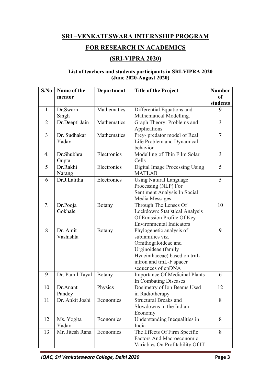#### **SRI –VENKATESWARA INTERNSHIP PROGRAM**

## **FOR RESEARCH IN ACADEMICS**

### **(SRI-VIPRA 2020)**

#### **List of teachers and students participants in SRI-VIPRA 2020 (June 2020-August 2020)**

| S.No             | Name of the     | <b>Department</b> | <b>Title of the Project</b>           | <b>Number</b>  |
|------------------|-----------------|-------------------|---------------------------------------|----------------|
|                  | mentor          |                   |                                       | <b>of</b>      |
|                  |                 |                   |                                       | students       |
| $\mathbf{1}$     | Dr.Swarn        | Mathematics       | Differential Equations and            | 9              |
|                  | Singh           |                   | Mathematical Modelling.               |                |
| $\overline{2}$   | Dr.Deepti Jain  | Mathematics       | Graph Theory: Problems and            | $\overline{3}$ |
|                  |                 |                   | Applications                          |                |
| $\overline{3}$   | Dr. Sudhakar    | Mathematics       | Prey- predator model of Real          | $\overline{7}$ |
|                  | Yadav           |                   | Life Problem and Dynamical            |                |
|                  |                 |                   | behavior                              |                |
| $\overline{4}$ . | Dr.Shubhra      | Electronics       | Modelling of Thin Film Solar          | $\overline{3}$ |
|                  | Gupta           |                   | Cells                                 |                |
| 5                | Dr.Rakhi        | Electronics       | <b>Digital Image Processing Using</b> | 5              |
|                  | Narang          |                   | <b>MATLAB</b>                         |                |
| 6                | Dr.J.Lalitha    | Electronics       | <b>Using Natural Language</b>         | 5              |
|                  |                 |                   | Processing (NLP) For                  |                |
|                  |                 |                   | Sentiment Analysis In Social          |                |
|                  |                 |                   | Media Messages                        |                |
| 7.               | Dr.Pooja        | <b>Botany</b>     | Through The Lenses Of                 | 10             |
|                  | Gokhale         |                   | Lockdown: Statistical Analysis        |                |
|                  |                 |                   | Of Emission Profile Of Key            |                |
|                  |                 |                   | <b>Environmental Indicators</b>       |                |
| 8                | Dr. Amit        | <b>Botany</b>     | Phylogenetic analysis of              | 9              |
|                  | Vashishta       |                   | subfamilies viz.                      |                |
|                  |                 |                   | Ornithogaloideae and                  |                |
|                  |                 |                   | Urginoideae (family                   |                |
|                  |                 |                   | Hyacinthaceae) based on trnL          |                |
|                  |                 |                   | intron and trnL-F spacer              |                |
|                  |                 |                   | sequences of cpDNA                    |                |
| 9                | Dr. Pamil Tayal | Botany            | <b>Importance Of Medicinal Plants</b> | 6              |
|                  |                 |                   | In Combating Diseases                 |                |
| 10               | Dr.Anant        | Physics           | Dosimetry of Ion Beams Used           | 12             |
|                  | Pandey          |                   | in Radiotherapy                       |                |
| 11               | Dr. Ankit Joshi | Economics         | <b>Structural Breaks and</b>          | 8              |
|                  |                 |                   | Slowdowns in the Indian               |                |
|                  |                 |                   | Economy                               |                |
| 12               | Ms. Yogita      | Economics         | Understanding Inequalities in         | 8              |
|                  | Yadav           |                   | India                                 |                |
| 13               | Mr. Jitesh Rana | Economics         | The Effects Of Firm Specific          | 8              |
|                  |                 |                   | <b>Factors And Macroeconomic</b>      |                |
|                  |                 |                   | Variables On Profitability Of IT      |                |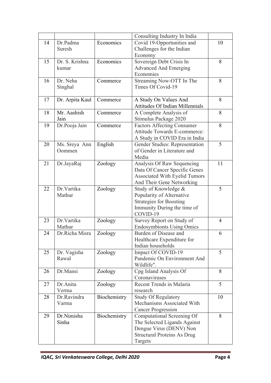|    |                 |              | Consulting Industry In India           |                |
|----|-----------------|--------------|----------------------------------------|----------------|
| 14 | Dr.Padma        | Economics    | Covid 19-Opportunities and             | 10             |
|    | Suresh          |              | Challenges for the Indian              |                |
|    |                 |              | Economy                                |                |
| 15 | Dr. S. Krishna  | Economics    | Sovereign Debt Crisis In               | 8              |
|    | kumar           |              | <b>Advanced And Emerging</b>           |                |
|    |                 |              | Economies                              |                |
| 16 | Dr. Neha        | Commerce     | Streaming Now-OTT In The               | 8              |
|    | Singhal         |              | Times Of Covid-19                      |                |
|    |                 |              |                                        |                |
| 17 | Dr. Arpita Kaul | Commerce     | A Study On Values And                  | 8              |
|    |                 |              | <b>Attitudes Of Indian Millennials</b> |                |
| 18 | Mr. Aashish     | Commerce     | A Complete Analysis of                 | 8              |
|    | Jain            |              | Stimulus Package 2020                  |                |
| 19 | Dr.Pooja Jain   | Commerce     | <b>Factors Affecting Consumer</b>      | 8              |
|    |                 |              | Attitude Towards E-commerce:           |                |
|    |                 |              | A Study in COVID Era in India          |                |
| 20 | Ms. Sreya Ann   | English      | Gender Studies: Representation         | 5              |
|    | Oommen          |              | of Gender in Literature and            |                |
|    |                 |              | Media                                  |                |
| 21 | Dr.JayaRaj      | Zoology      | Analysis Of Raw Sequencing             | 11             |
|    |                 |              | Data Of Cancer Specific Genes          |                |
|    |                 |              | Associated With Eyelid Tumors          |                |
|    |                 |              | And Their Gene Networking              |                |
| 22 | Dr. Vartika     | Zoology      | Study of Knowledge &                   | 5              |
|    | Mathur          |              | Popularity of Alternative              |                |
|    |                 |              | <b>Strategies for Boosting</b>         |                |
|    |                 |              | Immunity During the time of            |                |
|    |                 |              | COVID-19                               |                |
| 23 | Dr. Vartika     | Zoology      | Survey Report on Study of              | $\overline{4}$ |
|    | Mathur          |              | <b>Endosymbionts Using Omics</b>       |                |
| 24 | Dr.Richa Misra  | Zoology      | Burden of Disease and                  | 6              |
|    |                 |              | Healthcare Expenditure for             |                |
|    |                 |              | Indian households                      |                |
| 25 | Dr. Vagisha     | Zoology      | Impact Of COVID-19                     | 5              |
|    | Rawal           |              | Pandemic On Environment And            |                |
|    |                 |              | Wildlife".                             |                |
| 26 | Dr.Mansi        | Zoology      | Cpg Island Analysis Of                 | 8              |
|    |                 |              | Coronaviruses                          |                |
| 27 | Dr.Anita        | Zoology      | Recent Trends in Malaria               | 5              |
|    | Verma           |              | research                               |                |
| 28 | Dr.Ravindra     | Biochemistry | <b>Study Of Regulatory</b>             | 10             |
|    | Varma           |              | Mechanisms Associated With             |                |
|    |                 |              | <b>Cancer Progression</b>              |                |
| 29 | Dr.Nimisha      | Biochemistry | Computational Screening Of             | 8              |
|    | Sinha           |              | The Selected Ligands Against           |                |
|    |                 |              | Dengue Virus (DENV) Non                |                |
|    |                 |              | <b>Structural Proteins As Drug</b>     |                |
|    |                 |              | Targets                                |                |